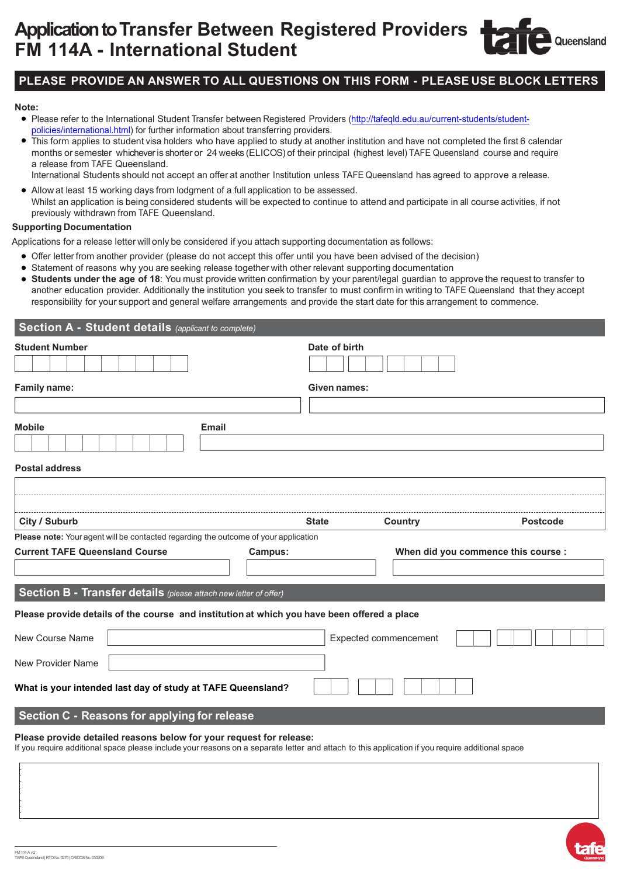# **Application to Transfer Between Registered Providers FM 114A - International Student**

## **PLEASE PROVIDE AN ANSWER TO ALL QUESTIONS ON THIS FORM - PLEASE USE BLOCK LETTERS**

#### **Note:**

- Please refer to the International Student Transfer between Registered Providers (http://tafeqld.edu.au/current-students/studentpolicies/international.html) for further information about transferring providers.
- This form applies to student visa holders who have applied to study at another institution and have not completed the first 6 calendar months or semester whichever is shorter or 24 weeks (ELICOS) of their principal (highest level) TAFE Queensland course and require a release from TAFE Queensland.
	- International Students should not accept an offer at another Institution unless TAFE Queensland has agreed to approve a release.
- Allow at least 15 working days from lodgment of a full application to be assessed. Whilst an application is being considered students will be expected to continue to attend and participate in all course activities, if not previously withdrawn from TAFE Queensland.

#### **Supporting Documentation**

Applications for a release letter will only be considered if you attach supporting documentation as follows:

- Offer letter from another provider (please do not accept this offer until you have been advised of the decision)
- Statement of reasons why you are seeking release together with other relevant supporting documentation
- **Students under the age of 18**: You must provide written confirmation by your parent/legal guardian to approve the request to transfer to another education provider. Additionally the institution you seek to transfer to must confirm in writing to TAFE Queensland that they accept responsibility for your support and general welfare arrangements and provide the start date for this arrangement to commence.

| <b>Student Number</b><br>Date of birth<br>Given names:<br><b>Email</b>                                                                                                                                                 |                                     |
|------------------------------------------------------------------------------------------------------------------------------------------------------------------------------------------------------------------------|-------------------------------------|
| Family name:<br><b>Mobile</b>                                                                                                                                                                                          |                                     |
|                                                                                                                                                                                                                        |                                     |
|                                                                                                                                                                                                                        |                                     |
|                                                                                                                                                                                                                        |                                     |
|                                                                                                                                                                                                                        |                                     |
|                                                                                                                                                                                                                        |                                     |
| <b>Postal address</b>                                                                                                                                                                                                  |                                     |
|                                                                                                                                                                                                                        |                                     |
|                                                                                                                                                                                                                        |                                     |
| City / Suburb<br><b>State</b>                                                                                                                                                                                          | Country<br><b>Postcode</b>          |
| Please note: Your agent will be contacted regarding the outcome of your application                                                                                                                                    |                                     |
| <b>Current TAFE Queensland Course</b><br>Campus:                                                                                                                                                                       | When did you commence this course : |
|                                                                                                                                                                                                                        |                                     |
| Section B - Transfer details (please attach new letter of offer)                                                                                                                                                       |                                     |
| Please provide details of the course and institution at which you have been offered a place                                                                                                                            |                                     |
| New Course Name                                                                                                                                                                                                        | Expected commencement               |
| New Provider Name                                                                                                                                                                                                      |                                     |
| What is your intended last day of study at TAFE Queensland?                                                                                                                                                            |                                     |
| Section C - Reasons for applying for release                                                                                                                                                                           |                                     |
| Please provide detailed reasons below for your request for release:<br>If you require additional space please include your reasons on a separate letter and attach to this application if you require additional space |                                     |
|                                                                                                                                                                                                                        |                                     |

Queensland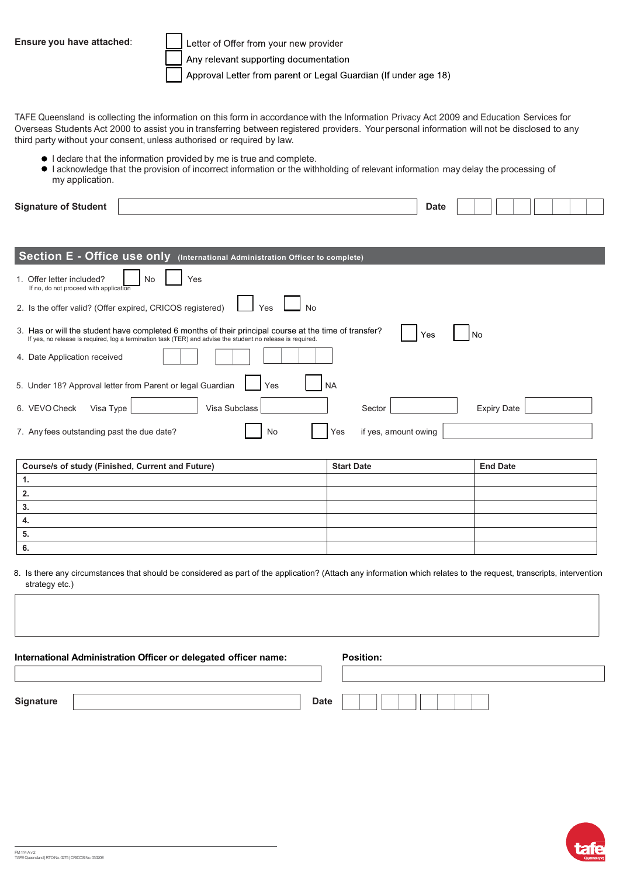**Ensure you have attached**:

Letter of Offer from your new provider

Any relevant supporting documentation

Approval Letter from parent or Legal Guardian (If under age 18)

TAFE Queensland is collecting the information on this form in accordance with the Information Privacy Act 2009 and Education Services for Overseas Students Act 2000 to assist you in transferring between registered providers. Your personal information will not be disclosed to any third party without your consent, unless authorised or required by law.

- $\bullet$  I declare that the information provided by me is true and complete.
- I acknowledge that the provision of incorrect information or the withholding of relevant information may delay the processing of my application.

| <b>Signature of Student</b>                                                                                                                                                                                          | <b>Date</b>        |  |
|----------------------------------------------------------------------------------------------------------------------------------------------------------------------------------------------------------------------|--------------------|--|
|                                                                                                                                                                                                                      |                    |  |
| Section E - Office use only (International Administration Officer to complete)                                                                                                                                       |                    |  |
| 1. Offer letter included?<br><b>No</b><br>Yes<br>If no, do not proceed with application                                                                                                                              |                    |  |
| 2. Is the offer valid? (Offer expired, CRICOS registered)<br>No<br>Yes                                                                                                                                               |                    |  |
| 3. Has or will the student have completed 6 months of their principal course at the time of transfer?<br>If yes, no release is required, log a termination task (TER) and advise the student no release is required. | Yes<br>l No        |  |
| 4. Date Application received                                                                                                                                                                                         |                    |  |
| 5. Under 18? Approval letter from Parent or legal Guardian<br>Yes<br><b>NA</b>                                                                                                                                       |                    |  |
| Visa Subclass<br>6. VEVO Check<br>Sector<br>Visa Type                                                                                                                                                                | <b>Expiry Date</b> |  |
| if yes, amount owing<br>7. Any fees outstanding past the due date?<br>No<br>Yes                                                                                                                                      |                    |  |

| <b>Course/s of study (Finished, Current and Future)</b> | <b>Start Date</b> | <b>End Date</b> |
|---------------------------------------------------------|-------------------|-----------------|
|                                                         |                   |                 |
|                                                         |                   |                 |
| ◡                                                       |                   |                 |
|                                                         |                   |                 |
| ◡                                                       |                   |                 |
|                                                         |                   |                 |

8. Is there any circumstances that should be considered as part of the application? (Attach any information which relates to the request, transcripts, intervention strategy etc.)

| International Administration Officer or delegated officer name: |             | <b>Position:</b> |
|-----------------------------------------------------------------|-------------|------------------|
|                                                                 |             |                  |
| Signature                                                       | <b>Date</b> |                  |